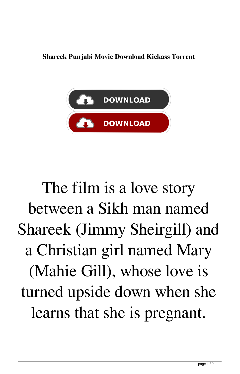## **Shareek Punjabi Movie Download Kickass Torrent**



## The film is a love story between a Sikh man named Shareek (Jimmy Sheirgill) and a Christian girl named Mary (Mahie Gill), whose love is turned upside down when she learns that she is pregnant.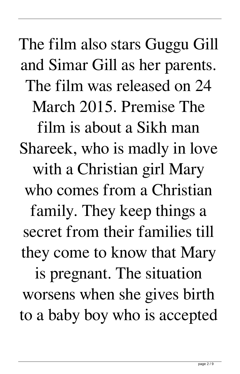The film also stars Guggu Gill and Simar Gill as her parents. The film was released on 24 March 2015. Premise The film is about a Sikh man Shareek, who is madly in love with a Christian girl Mary who comes from a Christian family. They keep things a secret from their families till they come to know that Mary

is pregnant. The situation worsens when she gives birth to a baby boy who is accepted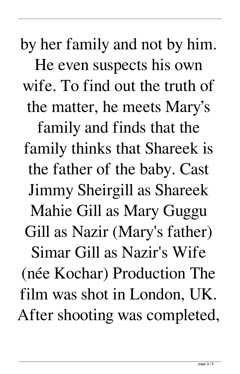by her family and not by him. He even suspects his own wife. To find out the truth of the matter, he meets Mary's family and finds that the family thinks that Shareek is the father of the baby. Cast Jimmy Sheirgill as Shareek Mahie Gill as Mary Guggu Gill as Nazir (Mary's father) Simar Gill as Nazir's Wife (née Kochar) Production The film was shot in London, UK. After shooting was completed,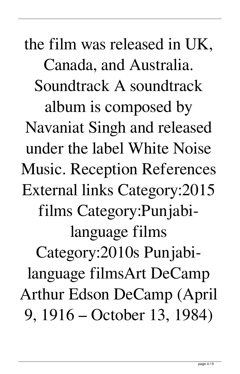the film was released in UK, Canada, and Australia. Soundtrack A soundtrack album is composed by Navaniat Singh and released under the label White Noise Music. Reception References External links Category:2015 films Category:Punjabilanguage films Category:2010s Punjabilanguage filmsArt DeCamp Arthur Edson DeCamp (April 9, 1916 – October 13, 1984)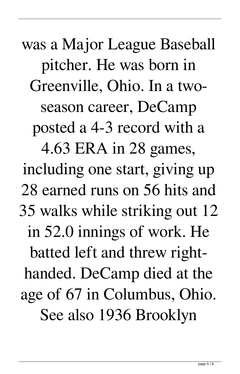was a Major League Baseball pitcher. He was born in Greenville, Ohio. In a twoseason career, DeCamp posted a 4-3 record with a 4.63 ERA in 28 games, including one start, giving up 28 earned runs on 56 hits and 35 walks while striking out 12 in 52.0 innings of work. He batted left and threw righthanded. DeCamp died at the age of 67 in Columbus, Ohio. See also 1936 Brooklyn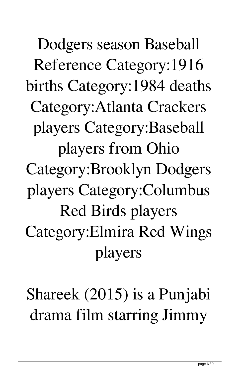Dodgers season Baseball Reference Category:1916 births Category:1984 deaths Category:Atlanta Crackers players Category:Baseball players from Ohio Category:Brooklyn Dodgers players Category:Columbus Red Birds players Category:Elmira Red Wings players

Shareek (2015) is a Punjabi drama film starring Jimmy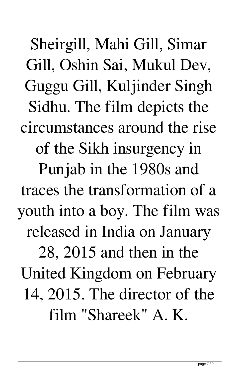Sheirgill, Mahi Gill, Simar Gill, Oshin Sai, Mukul Dev, Guggu Gill, Kuljinder Singh Sidhu. The film depicts the circumstances around the rise of the Sikh insurgency in Punjab in the 1980s and traces the transformation of a youth into a boy. The film was released in India on January 28, 2015 and then in the United Kingdom on February 14, 2015. The director of the film "Shareek" A. K.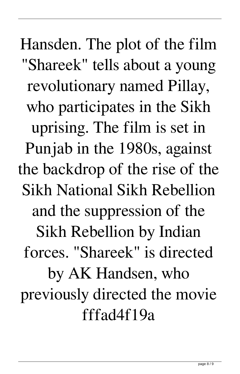Hansden. The plot of the film "Shareek" tells about a young revolutionary named Pillay, who participates in the Sikh uprising. The film is set in Punjab in the 1980s, against the backdrop of the rise of the Sikh National Sikh Rebellion and the suppression of the Sikh Rebellion by Indian forces. "Shareek" is directed by AK Handsen, who previously directed the movie fffad4f19a